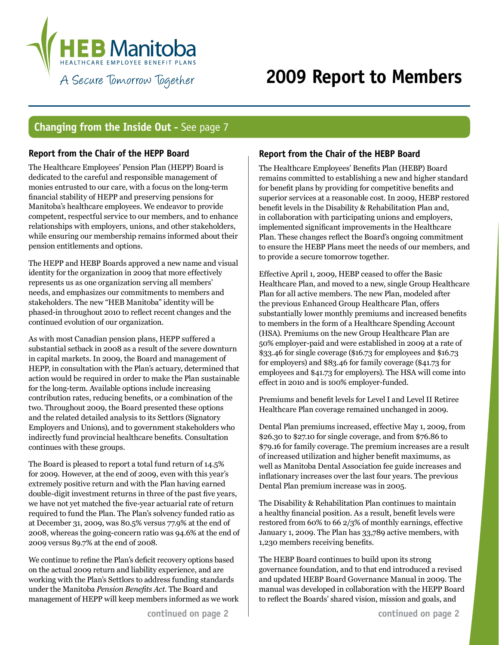

## **2009 Report to Members**

### **Changing from the Inside Out -** See page 7

#### **Report from the Chair of the HEPP Board**

The Healthcare Employees' Pension Plan (HEPP) Board is dedicated to the careful and responsible management of monies entrusted to our care, with a focus on the long-term financial stability of HEPP and preserving pensions for Manitoba's healthcare employees. We endeavor to provide competent, respectful service to our members, and to enhance relationships with employers, unions, and other stakeholders, while ensuring our membership remains informed about their pension entitlements and options.

The HEPP and HEBP Boards approved a new name and visual identity for the organization in 2009 that more effectively represents us as one organization serving all members' needs, and emphasizes our commitments to members and stakeholders. The new "HEB Manitoba" identity will be phased-in throughout 2010 to reflect recent changes and the continued evolution of our organization.

As with most Canadian pension plans, HEPP suffered a substantial setback in 2008 as a result of the severe downturn in capital markets. In 2009, the Board and management of HEPP, in consultation with the Plan's actuary, determined that action would be required in order to make the Plan sustainable for the long-term. Available options include increasing contribution rates, reducing benefits, or a combination of the two. Throughout 2009, the Board presented these options and the related detailed analysis to its Settlors (Signatory Employers and Unions), and to government stakeholders who indirectly fund provincial healthcare benefits. Consultation continues with these groups.

The Board is pleased to report a total fund return of 14.5% for 2009. However, at the end of 2009, even with this year's extremely positive return and with the Plan having earned double-digit investment returns in three of the past five years, we have not yet matched the five-year actuarial rate of return required to fund the Plan. The Plan's solvency funded ratio as at December 31, 2009, was 80.5% versus 77.9% at the end of 2008, whereas the going-concern ratio was 94.6% at the end of 2009 versus 89.7% at the end of 2008.

We continue to refine the Plan's deficit recovery options based on the actual 2009 return and liability experience, and are working with the Plan's Settlors to address funding standards under the Manitoba *Pension Benefits Act*. The Board and management of HEPP will keep members informed as we work

#### **Report from the Chair of the HEBP Board**

The Healthcare Employees' Benefits Plan (HEBP) Board remains committed to establishing a new and higher standard for benefit plans by providing for competitive benefits and superior services at a reasonable cost. In 2009, HEBP restored benefit levels in the Disability & Rehabilitation Plan and, in collaboration with participating unions and employers, implemented significant improvements in the Healthcare Plan. These changes reflect the Board's ongoing commitment to ensure the HEBP Plans meet the needs of our members, and to provide a secure tomorrow together.

Effective April 1, 2009, HEBP ceased to offer the Basic Healthcare Plan, and moved to a new, single Group Healthcare Plan for all active members. The new Plan, modeled after the previous Enhanced Group Healthcare Plan, offers substantially lower monthly premiums and increased benefits to members in the form of a Healthcare Spending Account (HSA). Premiums on the new Group Healthcare Plan are 50% employer-paid and were established in 2009 at a rate of \$33.46 for single coverage (\$16.73 for employees and \$16.73 for employers) and \$83.46 for family coverage (\$41.73 for employees and \$41.73 for employers). The HSA will come into effect in 2010 and is 100% employer-funded.

Premiums and benefit levels for Level I and Level II Retiree Healthcare Plan coverage remained unchanged in 2009.

Dental Plan premiums increased, effective May 1, 2009, from \$26.30 to \$27.10 for single coverage, and from \$76.86 to \$79.16 for family coverage. The premium increases are a result of increased utilization and higher benefit maximums, as well as Manitoba Dental Association fee guide increases and inflationary increases over the last four years. The previous Dental Plan premium increase was in 2005.

The Disability & Rehabilitation Plan continues to maintain a healthy financial position. As a result, benefit levels were restored from 60% to 66 2/3% of monthly earnings, effective January 1, 2009. The Plan has 33,789 active members, with 1,230 members receiving benefits.

The HEBP Board continues to build upon its strong governance foundation, and to that end introduced a revised and updated HEBP Board Governance Manual in 2009. The manual was developed in collaboration with the HEPP Board to reflect the Boards' shared vision, mission and goals, and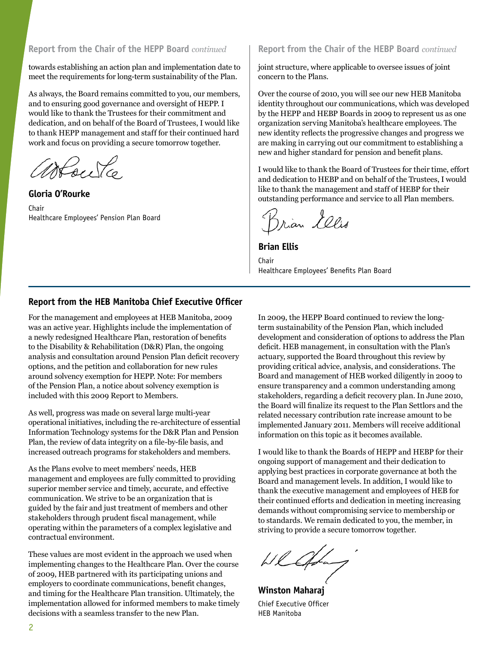towards establishing an action plan and implementation date to meet the requirements for long-term sustainability of the Plan.

As always, the Board remains committed to you, our members, and to ensuring good governance and oversight of HEPP. I would like to thank the Trustees for their commitment and dedication, and on behalf of the Board of Trustees, I would like to thank HEPP management and staff for their continued hard work and focus on providing a secure tomorrow together.

May Yo

**Gloria O'Rourke** Chair Healthcare Employees' Pension Plan Board

**Report from the Chair of the HEPP Board** *continued* **Report from the Chair of the HEBP Board** *continued*

joint structure, where applicable to oversee issues of joint concern to the Plans.

Over the course of 2010, you will see our new HEB Manitoba identity throughout our communications, which was developed by the HEPP and HEBP Boards in 2009 to represent us as one organization serving Manitoba's healthcare employees. The new identity reflects the progressive changes and progress we are making in carrying out our commitment to establishing a new and higher standard for pension and benefit plans.

I would like to thank the Board of Trustees for their time, effort and dedication to HEBP and on behalf of the Trustees, I would like to thank the management and staff of HEBP for their outstanding performance and service to all Plan members.

Brian Lelis

**Brian Ellis** Chair Healthcare Employees' Benefits Plan Board

#### **Report from the HEB Manitoba Chief Executive Officer**

For the management and employees at HEB Manitoba, 2009 was an active year. Highlights include the implementation of a newly redesigned Healthcare Plan, restoration of benefits to the Disability & Rehabilitation (D&R) Plan, the ongoing analysis and consultation around Pension Plan deficit recovery options, and the petition and collaboration for new rules around solvency exemption for HEPP. Note: For members of the Pension Plan, a notice about solvency exemption is included with this 2009 Report to Members.

As well, progress was made on several large multi-year operational initiatives, including the re-architecture of essential Information Technology systems for the D&R Plan and Pension Plan, the review of data integrity on a file-by-file basis, and increased outreach programs for stakeholders and members.

As the Plans evolve to meet members' needs, HEB management and employees are fully committed to providing superior member service and timely, accurate, and effective communication. We strive to be an organization that is guided by the fair and just treatment of members and other stakeholders through prudent fiscal management, while operating within the parameters of a complex legislative and contractual environment.

These values are most evident in the approach we used when implementing changes to the Healthcare Plan. Over the course of 2009, HEB partnered with its participating unions and employers to coordinate communications, benefit changes, and timing for the Healthcare Plan transition. Ultimately, the implementation allowed for informed members to make timely decisions with a seamless transfer to the new Plan.

In 2009, the HEPP Board continued to review the longterm sustainability of the Pension Plan, which included development and consideration of options to address the Plan deficit. HEB management, in consultation with the Plan's actuary, supported the Board throughout this review by providing critical advice, analysis, and considerations. The Board and management of HEB worked diligently in 2009 to ensure transparency and a common understanding among stakeholders, regarding a deficit recovery plan. In June 2010, the Board will finalize its request to the Plan Settlors and the related necessary contribution rate increase amount to be implemented January 2011. Members will receive additional information on this topic as it becomes available.

I would like to thank the Boards of HEPP and HEBP for their ongoing support of management and their dedication to applying best practices in corporate governance at both the Board and management levels. In addition, I would like to thank the executive management and employees of HEB for their continued efforts and dedication in meeting increasing demands without compromising service to membership or to standards. We remain dedicated to you, the member, in striving to provide a secure tomorrow together.

Whatform

**Winston Maharaj** Chief Executive Officer HEB Manitoba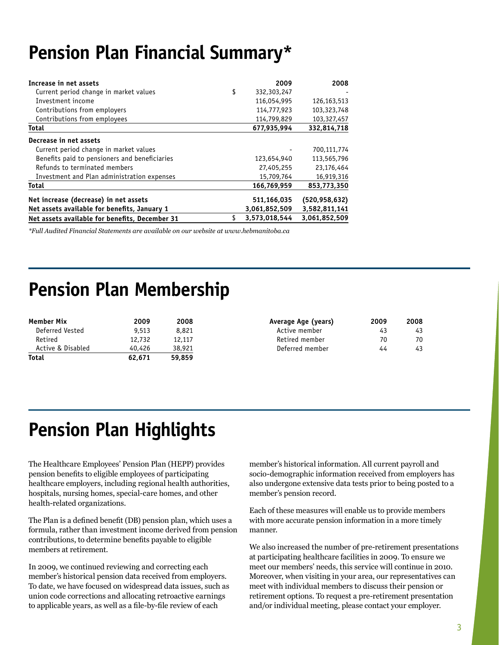## **Pension Plan Financial Summary\***

| Increase in net assets                         | 2009              | 2008            |
|------------------------------------------------|-------------------|-----------------|
| Current period change in market values         | \$<br>332,303,247 |                 |
| Investment income                              | 116,054,995       | 126,163,513     |
| Contributions from employers                   | 114,777,923       | 103,323,748     |
| Contributions from employees                   | 114,799,829       | 103,327,457     |
| <b>Total</b>                                   | 677,935,994       | 332,814,718     |
| Decrease in net assets                         |                   |                 |
| Current period change in market values         |                   | 700,111,774     |
| Benefits paid to pensioners and beneficiaries  | 123,654,940       | 113,565,796     |
| Refunds to terminated members                  | 27,405,255        | 23,176,464      |
| Investment and Plan administration expenses    | 15,709,764        | 16,919,316      |
| <b>Total</b>                                   | 166,769,959       | 853,773,350     |
| Net increase (decrease) in net assets          | 511,166,035       | (520, 958, 632) |
| Net assets available for benefits, January 1   | 3,061,852,509     | 3,582,811,141   |
| Net assets available for benefits, December 31 | 3,573,018,544     | 3,061,852,509   |

*\*Full Audited Financial Statements are available on our website at www.hebmanitoba.ca*

### **Pension Plan Membership**

| <b>Member Mix</b> | 2009   | 2008   | Average Age (years) | 2009 | 2008 |
|-------------------|--------|--------|---------------------|------|------|
| Deferred Vested   | 9,513  | 8,821  | Active member       | 43   | 43   |
| Retired           | 12,732 | 12,117 | Retired member      | 70   | 70   |
| Active & Disabled | 40.426 | 38,921 | Deferred member     | 44   | 43   |
| <b>Total</b>      | 62.671 | 59.859 |                     |      |      |

| verage Age (years) | 2009 | 2008 |
|--------------------|------|------|
| Active member      | 43   | 43   |
| Retired member     | 70   | 70   |
| Deferred member    | 44   | 43   |

# **Pension Plan Highlights**

The Healthcare Employees' Pension Plan (HEPP) provides pension benefits to eligible employees of participating healthcare employers, including regional health authorities, hospitals, nursing homes, special-care homes, and other health-related organizations.

The Plan is a defined benefit (DB) pension plan, which uses a formula, rather than investment income derived from pension contributions, to determine benefits payable to eligible members at retirement.

In 2009, we continued reviewing and correcting each member's historical pension data received from employers. To date, we have focused on widespread data issues, such as union code corrections and allocating retroactive earnings to applicable years, as well as a file-by-file review of each

member's historical information. All current payroll and socio-demographic information received from employers has also undergone extensive data tests prior to being posted to a member's pension record.

Each of these measures will enable us to provide members with more accurate pension information in a more timely manner.

We also increased the number of pre-retirement presentations at participating healthcare facilities in 2009. To ensure we meet our members' needs, this service will continue in 2010. Moreover, when visiting in your area, our representatives can meet with individual members to discuss their pension or retirement options. To request a pre-retirement presentation and/or individual meeting, please contact your employer.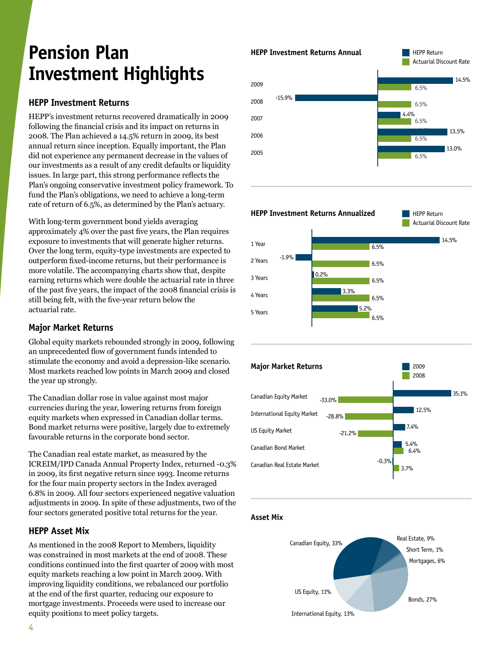# **Pension Plan Investment Highlights**

### **HEPP Investment Returns**

HEPP's investment returns recovered dramatically in 2009 following the financial crisis and its impact on returns in 2008. The Plan achieved a 14.5% return in 2009, its best annual return since inception. Equally important, the Plan did not experience any permanent decrease in the values of our investments as a result of any credit defaults or liquidity issues. In large part, this strong performance reflects the Plan's ongoing conservative investment policy framework. To fund the Plan's obligations, we need to achieve a long-term rate of return of 6.5%, as determined by the Plan's actuary.

With long-term government bond yields averaging approximately 4% over the past five years, the Plan requires exposure to investments that will generate higher returns. Over the long term, equity-type investments are expected to outperform fixed-income returns, but their performance is more volatile. The accompanying charts show that, despite earning returns which were double the actuarial rate in three of the past five years, the impact of the 2008 financial crisis is still being felt, with the five-year return below the actuarial rate.

### **Major Market Returns**

Global equity markets rebounded strongly in 2009, following an unprecedented flow of government funds intended to stimulate the economy and avoid a depression-like scenario. Most markets reached low points in March 2009 and closed the year up strongly.

The Canadian dollar rose in value against most major currencies during the year, lowering returns from foreign equity markets when expressed in Canadian dollar terms. Bond market returns were positive, largely due to extremely favourable returns in the corporate bond sector.

The Canadian real estate market, as measured by the ICREIM/IPD Canada Annual Property Index, returned -0.3% in 2009, its first negative return since 1993. Income returns for the four main property sectors in the Index averaged 6.8% in 2009. All four sectors experienced negative valuation adjustments in 2009. In spite of these adjustments, two of the four sectors generated positive total returns for the year.

#### **HEPP Asset Mix**

As mentioned in the 2008 Report to Members, liquidity was constrained in most markets at the end of 2008. These conditions continued into the first quarter of 2009 with most equity markets reaching a low point in March 2009. With improving liquidity conditions, we rebalanced our portfolio at the end of the first quarter, reducing our exposure to mortgage investments. Proceeds were used to increase our equity positions to meet policy targets.





5.2%

6.5%

6.5%

-0.3%

3.7%

**Asset Mix**

Canadian Real Estate Market

4 Years

5 Years

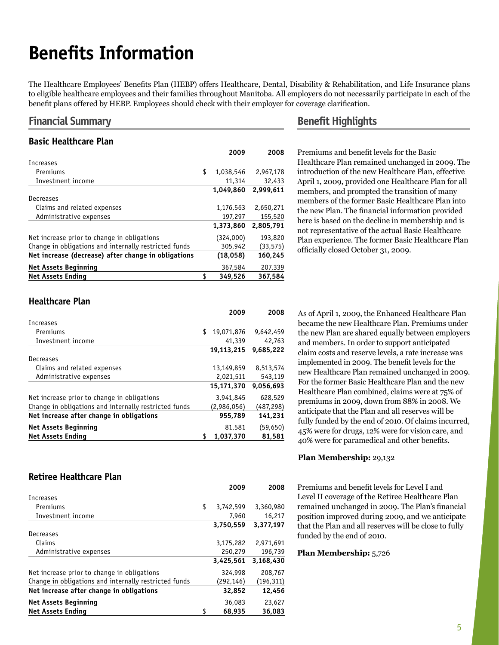# **Benefits Information**

The Healthcare Employees' Benefits Plan (HEBP) offers Healthcare, Dental, Disability & Rehabilitation, and Life Insurance plans to eligible healthcare employees and their families throughout Manitoba. All employers do not necessarily participate in each of the benefit plans offered by HEBP. Employees should check with their employer for coverage clarification.

#### **Financial Summary**

#### **Basic Healthcare Plan**

|                                                       | 2009            | 2008      |
|-------------------------------------------------------|-----------------|-----------|
| Increases                                             |                 |           |
| Premiums                                              | \$<br>1,038,546 | 2,967,178 |
| Investment income                                     | 11,314          | 32,433    |
|                                                       | 1.049.860       | 2.999.611 |
| Decreases                                             |                 |           |
| Claims and related expenses                           | 1,176,563       | 2,650,271 |
| Administrative expenses                               | 197,297         | 155,520   |
|                                                       | 1,373,860       | 2,805,791 |
| Net increase prior to change in obligations           | (324,000)       | 193,820   |
| Change in obligations and internally restricted funds | 305,942         | (33, 575) |
| Net increase (decrease) after change in obligations   | (18,058)        | 160,245   |
| <b>Net Assets Beginning</b>                           | 367,584         | 207,339   |
| <b>Net Assets Ending</b>                              | 349,526         | 367,584   |

#### **Benefit Highlights**

Premiums and benefit levels for the Basic Healthcare Plan remained unchanged in 2009. The introduction of the new Healthcare Plan, effective April 1, 2009, provided one Healthcare Plan for all members, and prompted the transition of many members of the former Basic Healthcare Plan into the new Plan. The financial information provided here is based on the decline in membership and is not representative of the actual Basic Healthcare Plan experience. The former Basic Healthcare Plan officially closed October 31, 2009.

#### **Healthcare Plan**

|                                                       | 2009             | 2008      |
|-------------------------------------------------------|------------------|-----------|
| <b>Increases</b>                                      |                  |           |
| Premiums                                              | \$<br>19,071,876 | 9,642,459 |
| Investment income                                     | 41,339           | 42,763    |
|                                                       | 19.113.215       | 9.685.222 |
| Decreases                                             |                  |           |
| Claims and related expenses                           | 13,149,859       | 8,513,574 |
| Administrative expenses                               | 2,021,511        | 543,119   |
|                                                       | 15,171,370       | 9,056,693 |
| Net increase prior to change in obligations           | 3,941,845        | 628,529   |
| Change in obligations and internally restricted funds | (2,986,056)      | (487,298) |
| Net increase after change in obligations              | 955,789          | 141,231   |
| <b>Net Assets Beginning</b>                           | 81,581           | (59,650)  |
| <b>Net Assets Ending</b>                              | 1,037,370        | 81,581    |

As of April 1, 2009, the Enhanced Healthcare Plan became the new Healthcare Plan. Premiums under the new Plan are shared equally between employers and members. In order to support anticipated claim costs and reserve levels, a rate increase was implemented in 2009. The benefit levels for the new Healthcare Plan remained unchanged in 2009. For the former Basic Healthcare Plan and the new Healthcare Plan combined, claims were at 75% of premiums in 2009, down from 88% in 2008. We anticipate that the Plan and all reserves will be fully funded by the end of 2010. Of claims incurred, 45% were for drugs, 12% were for vision care, and 40% were for paramedical and other benefits.

#### **Retiree Healthcare Plan**

|                                                       | 2009            | 2008      |
|-------------------------------------------------------|-----------------|-----------|
| Increases                                             |                 |           |
| Premiums                                              | \$<br>3,742,599 | 3,360,980 |
| Investment income                                     | 7,960           | 16,217    |
|                                                       | 3,750,559       | 3,377,197 |
| Decreases                                             |                 |           |
| Claims                                                | 3,175,282       | 2,971,691 |
| Administrative expenses                               | 250,279         | 196,739   |
|                                                       | 3,425,561       | 3,168,430 |
| Net increase prior to change in obligations           | 324,998         | 208,767   |
| Change in obligations and internally restricted funds | (292,146)       | (196,311) |
| Net increase after change in obligations              | 32,852          | 12,456    |
| <b>Net Assets Beginning</b>                           | 36,083          | 23,627    |
| <b>Net Assets Ending</b>                              | \$<br>68,935    | 36,083    |

#### **Plan Membership:** 29,132

Premiums and benefit levels for Level I and Level II coverage of the Retiree Healthcare Plan remained unchanged in 2009. The Plan's financial position improved during 2009, and we anticipate that the Plan and all reserves will be close to fully funded by the end of 2010.

#### **Plan Membership:** 5,726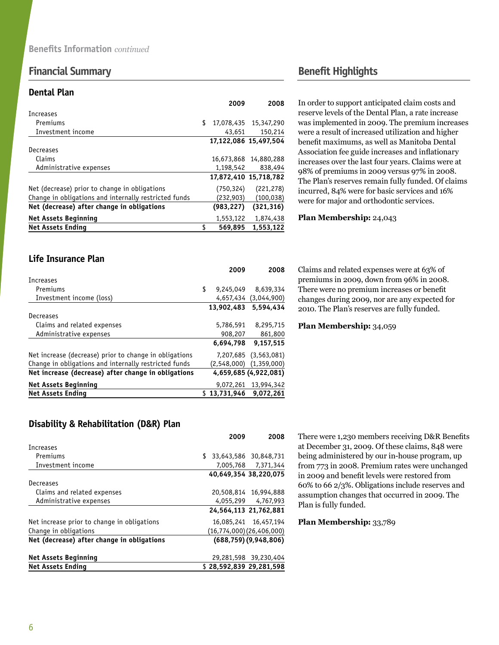### **Financial Summary Benefit Highlights**

#### **Dental Plan**

|                                                       | 2009             | 2008                  |
|-------------------------------------------------------|------------------|-----------------------|
| Increases                                             |                  |                       |
| Premiums                                              | \$<br>17,078,435 | 15,347,290            |
| Investment income                                     | 43,651           | 150,214               |
|                                                       |                  | 17,122,086 15,497,504 |
| Decreases                                             |                  |                       |
| Claims                                                | 16,673,868       | 14,880,288            |
| Administrative expenses                               | 1,198,542        | 838,494               |
|                                                       |                  | 17,872,410 15,718,782 |
| Net (decrease) prior to change in obligations         | (750,324)        | (221, 278)            |
| Change in obligations and internally restricted funds | (232,903)        | (100, 038)            |
| Net (decrease) after change in obligations            | (983,227)        | (321, 316)            |
| <b>Net Assets Beginning</b>                           | 1,553,122        | 1,874,438             |
| <b>Net Assets Ending</b>                              | \$<br>569.895    | 1,553,122             |

In order to support anticipated claim costs and reserve levels of the Dental Plan, a rate increase was implemented in 2009. The premium increases were a result of increased utilization and higher benefit maximums, as well as Manitoba Dental Association fee guide increases and inflationary increases over the last four years. Claims were at 98% of premiums in 2009 versus 97% in 2008. The Plan's reserves remain fully funded. Of claims incurred, 84% were for basic services and 16% were for major and orthodontic services.

#### **Plan Membership:** 24,043

#### **Life Insurance Plan**

|                                                        | 2009            | 2008                  |
|--------------------------------------------------------|-----------------|-----------------------|
| Increases                                              |                 |                       |
| Premiums                                               | \$<br>9,245,049 | 8,639,334             |
| Investment income (loss)                               | 4,657,434       | (3,044,900)           |
|                                                        | 13.902.483      | 5,594,434             |
| Decreases                                              |                 |                       |
| Claims and related expenses                            | 5,786,591       | 8,295,715             |
| Administrative expenses                                | 908,207         | 861,800               |
|                                                        | 6.694.798       | 9,157,515             |
| Net increase (decrease) prior to change in obligations | 7,207,685       | (3,563,081)           |
| Change in obligations and internally restricted funds  | (2,548,000)     | (1, 359, 000)         |
| Net increase (decrease) after change in obligations    |                 | 4,659,685 (4,922,081) |
| <b>Net Assets Beginning</b>                            | 9,072,261       | 13,994,342            |
| <b>Net Assets Ending</b>                               | \$13.731.946    | 9.072.261             |

Claims and related expenses were at 63% of premiums in 2009, down from 96% in 2008. There were no premium increases or benefit changes during 2009, nor are any expected for 2010. The Plan's reserves are fully funded.

#### **Plan Membership:** 34,059

#### There were 1,230 members receiving D&R Benefits at December 31, 2009. Of these claims, 848 were being administered by our in-house program, up from 773 in 2008. Premium rates were unchanged in 2009 and benefit levels were restored from 60% to 66 2/3%. Obligations include reserves and

Plan is fully funded.

#### **Plan Membership:** 33,789

assumption changes that occurred in 2009. The

#### **Disability & Rehabilitation (D&R) Plan**

|                                             | 2009                    | 2008                              |
|---------------------------------------------|-------------------------|-----------------------------------|
| Increases                                   |                         |                                   |
| Premiums                                    |                         | 33,643,586 30,848,731             |
| Investment income                           |                         | 7.005.768 7.371.344               |
|                                             |                         | 40,649,354 38,220,075             |
| Decreases                                   |                         |                                   |
| Claims and related expenses                 |                         | 20,508,814 16,994,888             |
| Administrative expenses                     |                         | 4,055,299 4,767,993               |
|                                             |                         | 24,564,113 21,762,881             |
| Net increase prior to change in obligations |                         | 16.085.241 16.457.194             |
| Change in obligations                       |                         | $(16, 774, 000)$ $(26, 406, 000)$ |
| Net (decrease) after change in obligations  |                         | (688, 759) (9, 948, 806)          |
| <b>Net Assets Beginning</b>                 |                         | 29,281,598 39,230,404             |
| <b>Net Assets Ending</b>                    | \$28.592.839 29.281.598 |                                   |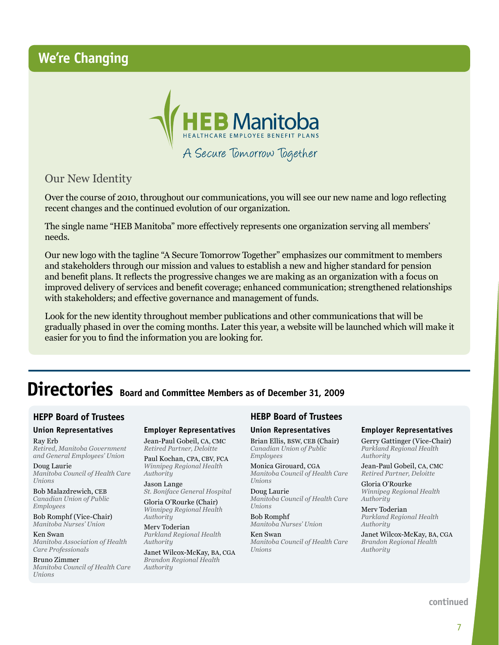### **We're Changing**



Our New Identity

Over the course of 2010, throughout our communications, you will see our new name and logo reflecting recent changes and the continued evolution of our organization.

The single name "HEB Manitoba" more effectively represents one organization serving all members' needs.

Our new logo with the tagline "A Secure Tomorrow Together" emphasizes our commitment to members and stakeholders through our mission and values to establish a new and higher standard for pension and benefit plans. It reflects the progressive changes we are making as an organization with a focus on improved delivery of services and benefit coverage; enhanced communication; strengthened relationships with stakeholders; and effective governance and management of funds.

Look for the new identity throughout member publications and other communications that will be gradually phased in over the coming months. Later this year, a website will be launched which will make it easier for you to find the information you are looking for.

# **Directories Board and Committee Members as of December 31, 2009**

#### **HEPP Board of Trustees**

#### **Union Representatives** Ray Erb

*Retired, Manitoba Government and General Employees' Union*

Doug Laurie *Manitoba Council of Health Care Unions*

Bob Malazdrewich, CEB *Canadian Union of Public Employees*

Bob Romphf (Vice-Chair) *Manitoba Nurses' Union*

Ken Swan *Manitoba Association of Health Care Professionals*

Bruno Zimmer *Manitoba Council of Health Care Unions*

#### **Employer Representatives**

Jean-Paul Gobeil, CA, CMC *Retired Partner, Deloitte*

Paul Kochan, CPA, CBV, FCA *Winnipeg Regional Health Authority*

Jason Lange *St. Boniface General Hospital*

Gloria O'Rourke (Chair) *Winnipeg Regional Health Authority*

Merv Toderian *Parkland Regional Health Authority*

Janet Wilcox-McKay, BA, CGA *Brandon Regional Health Authority*

#### **HEBP Board of Trustees**

#### **Union Representatives**

Brian Ellis, BSW, CEB (Chair) *Canadian Union of Public Employees*

Monica Girouard, CGA *Manitoba Council of Health Care Unions*

Doug Laurie *Manitoba Council of Health Care Unions*

Bob Romphf *Manitoba Nurses' Union*

Ken Swan *Manitoba Council of Health Care Unions*

#### **Employer Representatives**

Gerry Gattinger (Vice-Chair) *Parkland Regional Health Authority*

Jean-Paul Gobeil, CA, CMC *Retired Partner, Deloitte*

Gloria O'Rourke *Winnipeg Regional Health Authority*

Merv Toderian *Parkland Regional Health Authority*

Janet Wilcox-McKay, BA, CGA *Brandon Regional Health Authority*

**continued**